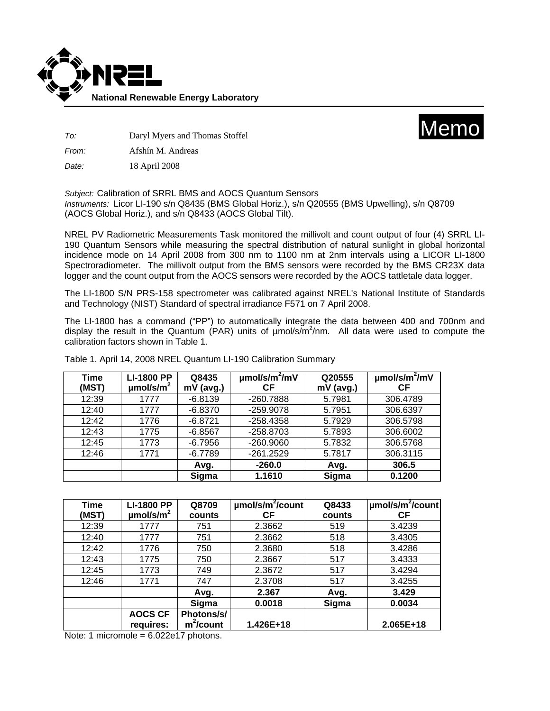



*To:* Daryl Myers and Thomas Stoffel

*From:* Afshín M. Andreas

*Date:* 18 April 2008

*Subject:* Calibration of SRRL BMS and AOCS Quantum Sensors *Instruments:* Licor LI-190 s/n Q8435 (BMS Global Horiz.), s/n Q20555 (BMS Upwelling), s/n Q8709 (AOCS Global Horiz.), and s/n Q8433 (AOCS Global Tilt).

NREL PV Radiometric Measurements Task monitored the millivolt and count output of four (4) SRRL LI-190 Quantum Sensors while measuring the spectral distribution of natural sunlight in global horizontal incidence mode on 14 April 2008 from 300 nm to 1100 nm at 2nm intervals using a LICOR LI-1800 Spectroradiometer. The millivolt output from the BMS sensors were recorded by the BMS CR23X data logger and the count output from the AOCS sensors were recorded by the AOCS tattletale data logger.

The LI-1800 S/N PRS-158 spectrometer was calibrated against NREL's National Institute of Standards and Technology (NIST) Standard of spectral irradiance F571 on 7 April 2008.

The LI-1800 has a command ("PP") to automatically integrate the data between 400 and 700nm and display the result in the Quantum (PAR) units of umol/s/m<sup>2</sup>/nm. All data were used to compute the calibration factors shown in Table 1.

| <b>Time</b><br>(MST) | <b>LI-1800 PP</b><br>$\mu$ mol/s/m <sup>2</sup> | Q8435<br>$mV$ (avg.) | $\mu$ mol/s/m <sup>2</sup> /mV<br>СF | Q20555<br>mV (avg.) | $\mu$ mol/s/m $\frac{2}{\mu}$<br>СF |
|----------------------|-------------------------------------------------|----------------------|--------------------------------------|---------------------|-------------------------------------|
| 12:39                | 1777                                            | $-6.8139$            | -260.7888                            | 5.7981              | 306.4789                            |
| 12:40                | 1777                                            | $-6.8370$            | $-259.9078$                          | 5.7951              | 306.6397                            |
| 12:42                | 1776                                            | $-6.8721$            | $-258.4358$                          | 5.7929              | 306.5798                            |
| 12:43                | 1775                                            | $-6.8567$            | -258.8703                            | 5.7893              | 306.6002                            |
| 12:45                | 1773                                            | $-6.7956$            | $-260.9060$                          | 5.7832              | 306.5768                            |
| 12:46                | 1771                                            | $-6.7789$            | $-261.2529$                          | 5.7817              | 306.3115                            |
|                      |                                                 | Avg.                 | $-260.0$                             | Avg.                | 306.5                               |
|                      |                                                 | Sigma                | 1.1610                               | Sigma               | 0.1200                              |

Table 1. April 14, 2008 NREL Quantum LI-190 Calibration Summary

| <b>Time</b> | <b>LI-1800 PP</b>          | Q8709        | umol/s/m <sup>2</sup> /count | Q8433  | umol/s/m <sup>2</sup> /count |
|-------------|----------------------------|--------------|------------------------------|--------|------------------------------|
| (MST)       | $\mu$ mol/s/m <sup>2</sup> | counts       | <b>CF</b>                    | counts | СF                           |
| 12:39       | 1777                       | 751          | 2.3662                       | 519    | 3.4239                       |
| 12:40       | 1777                       | 751          | 2.3662                       | 518    | 3.4305                       |
| 12:42       | 1776                       | 750          | 2.3680                       | 518    | 3.4286                       |
| 12:43       | 1775                       | 750          | 2.3667                       | 517    | 3.4333                       |
| 12:45       | 1773                       | 749          | 2.3672                       | 517    | 3.4294                       |
| 12:46       | 1771                       | 747          | 2.3708                       | 517    | 3.4255                       |
|             |                            | Avg.         | 2.367                        | Avg.   | 3.429                        |
|             |                            | Sigma        | 0.0018                       | Sigma  | 0.0034                       |
|             | <b>AOCS CF</b>             | Photons/s/   |                              |        |                              |
|             | requires:                  | $m^2$ /count | 1.426E+18                    |        | 2.065E+18                    |

Note: 1 micromole = 6.022e17 photons.